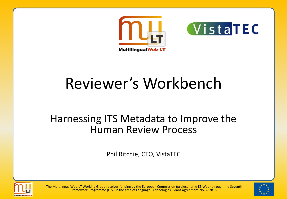



## Reviewer's Workbench

#### Harnessing ITS Metadata to Improve the Human Review Process

Phil Ritchie, CTO, VistaTEC



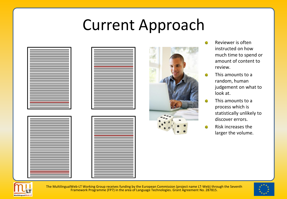### Current Approach

|   | the control of the control of the control of the control of the control of the control of the control of the control of the control of the control of the control of the control of the control of the control of the control |                                                                                                                                                                                                                               |                                                                                                                                                                                                                               |  |
|---|-------------------------------------------------------------------------------------------------------------------------------------------------------------------------------------------------------------------------------|-------------------------------------------------------------------------------------------------------------------------------------------------------------------------------------------------------------------------------|-------------------------------------------------------------------------------------------------------------------------------------------------------------------------------------------------------------------------------|--|
|   |                                                                                                                                                                                                                               |                                                                                                                                                                                                                               | the control of the control of the control of the control of the control of the control of                                                                                                                                     |  |
|   |                                                                                                                                                                                                                               |                                                                                                                                                                                                                               |                                                                                                                                                                                                                               |  |
|   |                                                                                                                                                                                                                               |                                                                                                                                                                                                                               | the control of the control of the control of the control of the control of the control of                                                                                                                                     |  |
|   |                                                                                                                                                                                                                               |                                                                                                                                                                                                                               | the control of the control of the control of the control of the control of the control of the control of the control of the control of the control of the control of the control of the control of the control of the control |  |
|   |                                                                                                                                                                                                                               |                                                                                                                                                                                                                               | and the control of the control of the control of the control of the control of the control of the control of the                                                                                                              |  |
|   |                                                                                                                                                                                                                               |                                                                                                                                                                                                                               |                                                                                                                                                                                                                               |  |
|   |                                                                                                                                                                                                                               |                                                                                                                                                                                                                               | the control of the control of the control of the control of the control of the control of                                                                                                                                     |  |
|   |                                                                                                                                                                                                                               |                                                                                                                                                                                                                               | the control of the control of the control of the control of the control of the control of                                                                                                                                     |  |
|   |                                                                                                                                                                                                                               |                                                                                                                                                                                                                               |                                                                                                                                                                                                                               |  |
|   |                                                                                                                                                                                                                               |                                                                                                                                                                                                                               | <u> 1989 - Jan Samuel Barbara, martin da shekara ta 1989 - An tsa masa tsa 1989 - An tsa 1989 - An tsa 1989 - An </u>                                                                                                         |  |
|   |                                                                                                                                                                                                                               |                                                                                                                                                                                                                               | and the state of the state of the state of the state of the state of the state of the                                                                                                                                         |  |
|   |                                                                                                                                                                                                                               |                                                                                                                                                                                                                               | the control of the control of the control of the control of the control of the control of                                                                                                                                     |  |
|   |                                                                                                                                                                                                                               |                                                                                                                                                                                                                               |                                                                                                                                                                                                                               |  |
|   |                                                                                                                                                                                                                               |                                                                                                                                                                                                                               | the control of the control of the control of the control of the control of                                                                                                                                                    |  |
|   |                                                                                                                                                                                                                               |                                                                                                                                                                                                                               | the control of the control of the control of the control of the control of the control of                                                                                                                                     |  |
|   |                                                                                                                                                                                                                               |                                                                                                                                                                                                                               |                                                                                                                                                                                                                               |  |
|   |                                                                                                                                                                                                                               |                                                                                                                                                                                                                               | the control of the control of the control of the control of the control of the control of the control of the control of the control of the control of the control of the control of the control of the control of the control |  |
|   |                                                                                                                                                                                                                               |                                                                                                                                                                                                                               | the control of the control of the control of the control of the control of the control of the control of the control of the control of the control of the control of the control of the control of the control of the control |  |
|   |                                                                                                                                                                                                                               |                                                                                                                                                                                                                               | the control of the control of the control of the control of the control of the control of                                                                                                                                     |  |
|   |                                                                                                                                                                                                                               |                                                                                                                                                                                                                               |                                                                                                                                                                                                                               |  |
|   |                                                                                                                                                                                                                               |                                                                                                                                                                                                                               | de la construcción de la construcción de la construcción de la construcción de la construcción de la construcc                                                                                                                |  |
| ٠ |                                                                                                                                                                                                                               |                                                                                                                                                                                                                               |                                                                                                                                                                                                                               |  |
|   |                                                                                                                                                                                                                               |                                                                                                                                                                                                                               |                                                                                                                                                                                                                               |  |
| ۰ |                                                                                                                                                                                                                               |                                                                                                                                                                                                                               |                                                                                                                                                                                                                               |  |
|   |                                                                                                                                                                                                                               |                                                                                                                                                                                                                               | in the control of the control of the control of the control of the control of the control of the control of th                                                                                                                |  |
|   |                                                                                                                                                                                                                               |                                                                                                                                                                                                                               |                                                                                                                                                                                                                               |  |
| п |                                                                                                                                                                                                                               |                                                                                                                                                                                                                               | a sa mga bagayan ng mga bagayan ng mga bagayan ng mga bagayan ng mga bagayang mga bagong mga bagong mga bagong                                                                                                                |  |
| ٠ |                                                                                                                                                                                                                               |                                                                                                                                                                                                                               |                                                                                                                                                                                                                               |  |
|   |                                                                                                                                                                                                                               |                                                                                                                                                                                                                               |                                                                                                                                                                                                                               |  |
|   |                                                                                                                                                                                                                               |                                                                                                                                                                                                                               | the control of the control of the control of the control of the control of the control of the control of the c                                                                                                                |  |
|   |                                                                                                                                                                                                                               |                                                                                                                                                                                                                               | the control of the control of the control of the control of the control of the control of                                                                                                                                     |  |
|   |                                                                                                                                                                                                                               |                                                                                                                                                                                                                               | the control of the control of the control of the control of the control of the control of the control of the control of the control of the control of the control of the control of the control of the control of the control |  |
|   |                                                                                                                                                                                                                               |                                                                                                                                                                                                                               |                                                                                                                                                                                                                               |  |
|   |                                                                                                                                                                                                                               |                                                                                                                                                                                                                               | the control of the control of the control of the control of the control of the control of                                                                                                                                     |  |
|   |                                                                                                                                                                                                                               |                                                                                                                                                                                                                               | the control of the control of the control of the control of the control of the control of the control of the control of the control of the control of the control of the control of the control of the control of the control |  |
|   |                                                                                                                                                                                                                               |                                                                                                                                                                                                                               |                                                                                                                                                                                                                               |  |
|   |                                                                                                                                                                                                                               |                                                                                                                                                                                                                               | <u> 1989 - Andrea Stadt Britain, marwolaethau a chwaraeth a chwaraeth a chwaraeth a chwaraeth a chwaraeth a chwar</u>                                                                                                         |  |
|   |                                                                                                                                                                                                                               |                                                                                                                                                                                                                               | the control of the control of the control of the control of the control of the control of the control of the control of the control of the control of the control of the control of the control of the control of the control |  |
|   |                                                                                                                                                                                                                               |                                                                                                                                                                                                                               | the control of the control of the control of the control of the control of the control of the control of the control of the control of the control of the control of the control of the control of the control of the control |  |
|   |                                                                                                                                                                                                                               |                                                                                                                                                                                                                               |                                                                                                                                                                                                                               |  |
|   |                                                                                                                                                                                                                               |                                                                                                                                                                                                                               | <u> 1989 - Jan Samuel Barbara, marka a shekara ta 1989 - An tsara tsara tsara tsara tsara tsara tsara tsara tsar</u>                                                                                                          |  |
|   | <u> 1989 - Andrea Stadt Britain, marwolaethau a bhaile an t-Alban an t-Alban an t-Alban an t-Alban an t-Alban an </u>                                                                                                         |                                                                                                                                                                                                                               |                                                                                                                                                                                                                               |  |
|   |                                                                                                                                                                                                                               |                                                                                                                                                                                                                               |                                                                                                                                                                                                                               |  |
|   |                                                                                                                                                                                                                               |                                                                                                                                                                                                                               |                                                                                                                                                                                                                               |  |
|   | the control of the control of the control of the control of the control of the control of                                                                                                                                     |                                                                                                                                                                                                                               |                                                                                                                                                                                                                               |  |
| ٠ |                                                                                                                                                                                                                               |                                                                                                                                                                                                                               |                                                                                                                                                                                                                               |  |
|   |                                                                                                                                                                                                                               |                                                                                                                                                                                                                               |                                                                                                                                                                                                                               |  |
|   |                                                                                                                                                                                                                               | the control of the control of the control of the control of the control of the control of the control of the control of the control of the control of the control of the control of the control of the control of the control |                                                                                                                                                                                                                               |  |
|   |                                                                                                                                                                                                                               |                                                                                                                                                                                                                               | a sa kacamatan ing Kabupatèn Kabupatèn Kabupatèn Kabupatèn Kabupatèn Kabupatèn Kabupatèn Kabupatèn Kabupatèn K                                                                                                                |  |
|   |                                                                                                                                                                                                                               |                                                                                                                                                                                                                               |                                                                                                                                                                                                                               |  |
|   |                                                                                                                                                                                                                               |                                                                                                                                                                                                                               |                                                                                                                                                                                                                               |  |
|   |                                                                                                                                                                                                                               |                                                                                                                                                                                                                               |                                                                                                                                                                                                                               |  |
|   |                                                                                                                                                                                                                               |                                                                                                                                                                                                                               |                                                                                                                                                                                                                               |  |
|   |                                                                                                                                                                                                                               |                                                                                                                                                                                                                               |                                                                                                                                                                                                                               |  |
|   |                                                                                                                                                                                                                               |                                                                                                                                                                                                                               | <u> 1989 - Jan Samuel Barbara, martin da shekara ta 1989 - An tsara tsara tsara tsara tsara tsara tsara tsara tsa</u>                                                                                                         |  |
|   |                                                                                                                                                                                                                               |                                                                                                                                                                                                                               | the control of the control of the control of the control of the control of the control of the control of the control of the control of the control of the control of the control of the control of the control of the control |  |
|   |                                                                                                                                                                                                                               |                                                                                                                                                                                                                               |                                                                                                                                                                                                                               |  |
|   |                                                                                                                                                                                                                               |                                                                                                                                                                                                                               | the contract of the contract of the contract of the contract of the contract of the contract of                                                                                                                               |  |
|   |                                                                                                                                                                                                                               |                                                                                                                                                                                                                               | and the control of the control of the control of the control of the control of the control of the control of the                                                                                                              |  |
|   |                                                                                                                                                                                                                               |                                                                                                                                                                                                                               | <u> 1989 - Jan Sarajević, matematički politički politički karaliziran († 1908)</u>                                                                                                                                            |  |
|   |                                                                                                                                                                                                                               |                                                                                                                                                                                                                               |                                                                                                                                                                                                                               |  |
|   |                                                                                                                                                                                                                               |                                                                                                                                                                                                                               | the control of the control of the control of the control of the control of the control of                                                                                                                                     |  |
|   |                                                                                                                                                                                                                               |                                                                                                                                                                                                                               | the control of the control of the control of the control of the control of the control of the control of the control of the control of the control of the control of the control of the control of the control of the control |  |
|   |                                                                                                                                                                                                                               |                                                                                                                                                                                                                               |                                                                                                                                                                                                                               |  |
|   |                                                                                                                                                                                                                               |                                                                                                                                                                                                                               | the control of the control of the control of the control of the control of the control of the control of the control of the control of the control of the control of the control of the control of the control of the control |  |
|   |                                                                                                                                                                                                                               |                                                                                                                                                                                                                               | <u> 1989 - Johann Barnett, mars eta idazlear (h. 1989).</u>                                                                                                                                                                   |  |
|   |                                                                                                                                                                                                                               |                                                                                                                                                                                                                               |                                                                                                                                                                                                                               |  |
|   |                                                                                                                                                                                                                               |                                                                                                                                                                                                                               | the control of the control of the control of the control of the control of the control of                                                                                                                                     |  |
|   |                                                                                                                                                                                                                               |                                                                                                                                                                                                                               | the control of the control of the control of the control of the control of the control of                                                                                                                                     |  |
|   |                                                                                                                                                                                                                               |                                                                                                                                                                                                                               |                                                                                                                                                                                                                               |  |
|   |                                                                                                                                                                                                                               |                                                                                                                                                                                                                               | and the control of the control of the control of the control of the control of the control of the control of the                                                                                                              |  |
|   |                                                                                                                                                                                                                               |                                                                                                                                                                                                                               | and the control of the control of the control of the control of the control of the control of the control of the                                                                                                              |  |
|   |                                                                                                                                                                                                                               |                                                                                                                                                                                                                               |                                                                                                                                                                                                                               |  |
|   |                                                                                                                                                                                                                               |                                                                                                                                                                                                                               | the control of the control of the control of the control of the control of the control of                                                                                                                                     |  |
|   |                                                                                                                                                                                                                               |                                                                                                                                                                                                                               | the control of the control of the control of the control of the control of                                                                                                                                                    |  |
|   |                                                                                                                                                                                                                               |                                                                                                                                                                                                                               |                                                                                                                                                                                                                               |  |
|   |                                                                                                                                                                                                                               |                                                                                                                                                                                                                               | the control of the control of the control of the control of the control of the control of                                                                                                                                     |  |
|   |                                                                                                                                                                                                                               |                                                                                                                                                                                                                               | the control of the control of the control of the control of the control of the control of the control of the control of the control of the control of the control of the control of the control of the control of the control |  |
|   |                                                                                                                                                                                                                               |                                                                                                                                                                                                                               | the control of the control of the control of the control of the control of the control of the control of the control of the control of the control of the control of the control of the control of the control of the control |  |
|   |                                                                                                                                                                                                                               |                                                                                                                                                                                                                               |                                                                                                                                                                                                                               |  |
|   |                                                                                                                                                                                                                               |                                                                                                                                                                                                                               | and the control of the control of the control of the control of the control of the control of the control of the                                                                                                              |  |
|   |                                                                                                                                                                                                                               |                                                                                                                                                                                                                               |                                                                                                                                                                                                                               |  |
|   |                                                                                                                                                                                                                               |                                                                                                                                                                                                                               |                                                                                                                                                                                                                               |  |
|   |                                                                                                                                                                                                                               |                                                                                                                                                                                                                               |                                                                                                                                                                                                                               |  |
|   |                                                                                                                                                                                                                               |                                                                                                                                                                                                                               |                                                                                                                                                                                                                               |  |
|   |                                                                                                                                                                                                                               |                                                                                                                                                                                                                               |                                                                                                                                                                                                                               |  |
|   |                                                                                                                                                                                                                               |                                                                                                                                                                                                                               |                                                                                                                                                                                                                               |  |
|   |                                                                                                                                                                                                                               |                                                                                                                                                                                                                               | the control of the control of the control of the control of the control of the control of the control of the control of the control of the control of the control of the control of the control of the control of the control |  |
|   |                                                                                                                                                                                                                               |                                                                                                                                                                                                                               |                                                                                                                                                                                                                               |  |
|   |                                                                                                                                                                                                                               |                                                                                                                                                                                                                               |                                                                                                                                                                                                                               |  |
|   |                                                                                                                                                                                                                               |                                                                                                                                                                                                                               | the control of the control of the control of the control of the control of the control of the control of the control of the control of the control of the control of the control of the control of the control of the control |  |
|   |                                                                                                                                                                                                                               |                                                                                                                                                                                                                               |                                                                                                                                                                                                                               |  |
|   |                                                                                                                                                                                                                               |                                                                                                                                                                                                                               |                                                                                                                                                                                                                               |  |
|   |                                                                                                                                                                                                                               |                                                                                                                                                                                                                               | the contract of the contract of the contract of the contract of the contract of the contract of                                                                                                                               |  |
|   |                                                                                                                                                                                                                               |                                                                                                                                                                                                                               | the control of the control of the control of the control of the control of the control of the control of the control of the control of the control of the control of the control of the control of the control of the control |  |
|   |                                                                                                                                                                                                                               |                                                                                                                                                                                                                               |                                                                                                                                                                                                                               |  |
|   |                                                                                                                                                                                                                               |                                                                                                                                                                                                                               | the control of the control of the control of the control of the control of the control of                                                                                                                                     |  |





- Reviewer is often instructed on how much time to spend or amount of content to review.
- This amounts to a random, human judgement on what to look at.
- This amounts to a process which is statistically unlikely to discover errors.
- Risk increases the larger the volume.



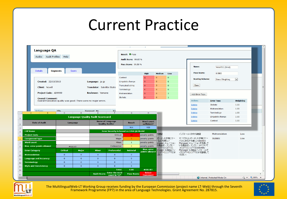#### Current Practice





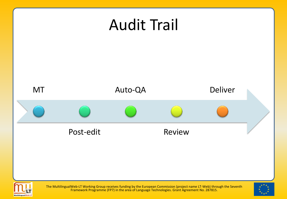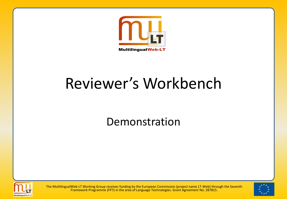

## Reviewer's Workbench

Demonstration



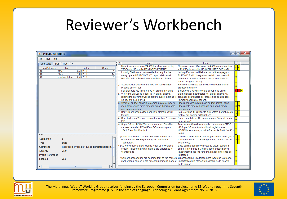#### Reviewer's Workbench

| o<br>& Reviewer's Workbench                            |                                                                        |                  |               |                                                                                                                                                                                                                                                    |                                                                                                                                                                                                                                                                                        |       |                |  |  |  |  |
|--------------------------------------------------------|------------------------------------------------------------------------|------------------|---------------|----------------------------------------------------------------------------------------------------------------------------------------------------------------------------------------------------------------------------------------------------|----------------------------------------------------------------------------------------------------------------------------------------------------------------------------------------------------------------------------------------------------------------------------------------|-------|----------------|--|--|--|--|
| File Filter Help                                       |                                                                        |                  |               |                                                                                                                                                                                                                                                    |                                                                                                                                                                                                                                                                                        |       |                |  |  |  |  |
| <b>Doc Stats</b><br>LQI                                | Tree<br>$+$                                                            |                  | $\frac{1}{2}$ | source                                                                                                                                                                                                                                             | target                                                                                                                                                                                                                                                                                 |       |                |  |  |  |  |
| Data Category<br>other<br>LQI<br>LQI<br>stvle<br>LQI   | Type<br>Value<br>25.0-25.0<br>10.0-25.0<br>mistranslation<br>25.0-75.0 | Count<br>14<br>3 | 12            | New firmware version (V4.00) that allows recording<br>720/50p in HQ mode (MENU-REC FORMAT)<br>Ludwig Elektro- und Netzwerktechnik equips the<br>newly opened EURONICS XXL specialist store in<br>Hassfurt with a Sony video surveillance solution. | Nuova versione di firmware (V 4.00) per registrazioni<br>a 720/50p in modalità HQ (MENU-REC FORMAT)<br>Ludwig Elektro- und Netzwerktechnik equipaggia<br>EURONICS XXL, il negozio specializzato aperto di<br>recente ad Hassfurt con una nuova soluzione di<br>videosorveglianza Sony. | si si |                |  |  |  |  |
|                                                        |                                                                        |                  |               | 3 Scandinavian award for the VPL-VW1000ES Best<br><b>Product of the Year</b>                                                                                                                                                                       | Premio scandinavo per il VPL-VW1000ES Miglior<br>prodotto dell'anno                                                                                                                                                                                                                    |       |                |  |  |  |  |
|                                                        |                                                                        |                  |               | 4 If all that puts you in the mood for ground-breaking<br>5 We're the unrivalled leader in 4K digital cinema,<br>raising the bar for unrivalled picture quality that has to<br>be seen to be believed                                              | Se tutto ciò ti va venire voglia di saperne di più<br>Siamo leader incontrastati nel digital cinema 4K,<br>elevando gli standard per creare una qualità delle<br>immagini senza precedenti.                                                                                            |       | m <sub>m</sub> |  |  |  |  |
|                                                        |                                                                        |                  |               | Great for budget-conscious communicators, they're<br>ideal for medium-sized meeting areas, boardrooms<br>and training suites.                                                                                                                      | Ideali per i comunicatori con budget limitati, sono<br>ideali per le aree dedicate alle riunioni di medie<br>dimensioni.                                                                                                                                                               | slm   |                |  |  |  |  |
|                                                        |                                                                        |                  |               | Sony 4K projection adds sparkle to Marrakech film<br>festival                                                                                                                                                                                      | La proiezione 4K di Sony fa aumentare il prestigio del<br>festival del cinema di Marrakech                                                                                                                                                                                             |       |                |  |  |  |  |
|                                                        |                                                                        |                  | l8.           | Sony builds on 'Year of Display Innovations' vision at Sony consolida ad ISE Ia sua visione "Year of Display"<br><b>ISE</b>                                                                                                                        | Innovations"                                                                                                                                                                                                                                                                           |       |                |  |  |  |  |
|                                                        |                                                                        |                  |               | 9 Super 35mm 4K CMOS sensor compact CineAlta<br>camera records HD/2K/4K on SxS memory plus<br>16-bit RAW 2K/4K output                                                                                                                              | Telecamera CineAlta compatta con sensore CMOS<br>4K Super 35 mm, funzionalità di registrazione<br>HD/2K/4K su memory card SxS e uscita RAW 2K/4K a<br>16 bit                                                                                                                           |       |                |  |  |  |  |
| Segment#<br><b>Type</b>                                | 6<br>style                                                             |                  |               | 10 said committee Chairman, Robert P. Seidel, Vice<br>President of CBS Engineering and Advanced<br>Technology.                                                                                                                                     | ha dichiarato Robert P. Seidel, presidente della giuria<br>e vicepresidente di CBS Engineering and Advanced<br>Technology.                                                                                                                                                             | il sl |                |  |  |  |  |
| Comment<br><b>Severity</b><br><b>Profile Reference</b> | Repetition of "ideale" due to literal translation.<br>25.0             |                  |               | 11 So we've asked a few experts to tell us how these<br>smaller investments can make a big difference to<br>vour footage                                                                                                                           | Ecco perché abbiamo chiesto ad alcuni esperti di<br>offrirci il loro punto di vista su come questi piccoli<br>investimenti possono fare una grande differenza per<br>le riprese.                                                                                                       |       |                |  |  |  |  |
| <b>Enabled</b>                                         | <b>ves</b>                                                             |                  |               | 12 Camera accessories are as important as the camera Gli accessori di una telecamera rivestono la stessa<br>litself when it comes to the smooth running of a shoot, limportanza della stessa telecamera nella riuscita                             | delle riprese.                                                                                                                                                                                                                                                                         |       |                |  |  |  |  |
| ٠                                                      |                                                                        | $\mathbf{F}$     |               |                                                                                                                                                                                                                                                    |                                                                                                                                                                                                                                                                                        |       |                |  |  |  |  |



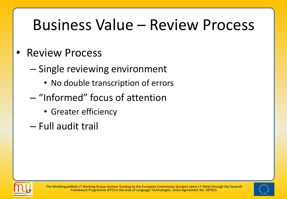## Business Value – Review Process

#### • Review Process

- Single reviewing environment
	- No double transcription of errors
- "Informed" focus of attention
	- Greater efficiency
- Full audit trail



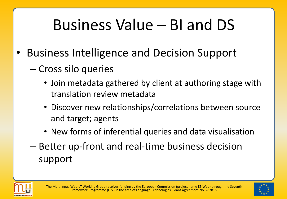# Business Value – BI and DS

- Business Intelligence and Decision Support
	- Cross silo queries
		- Join metadata gathered by client at authoring stage with translation review metadata
		- Discover new relationships/correlations between source and target; agents
		- New forms of inferential queries and data visualisation
	- Better up-front and real-time business decision support



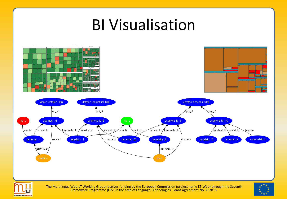### BI Visualisation